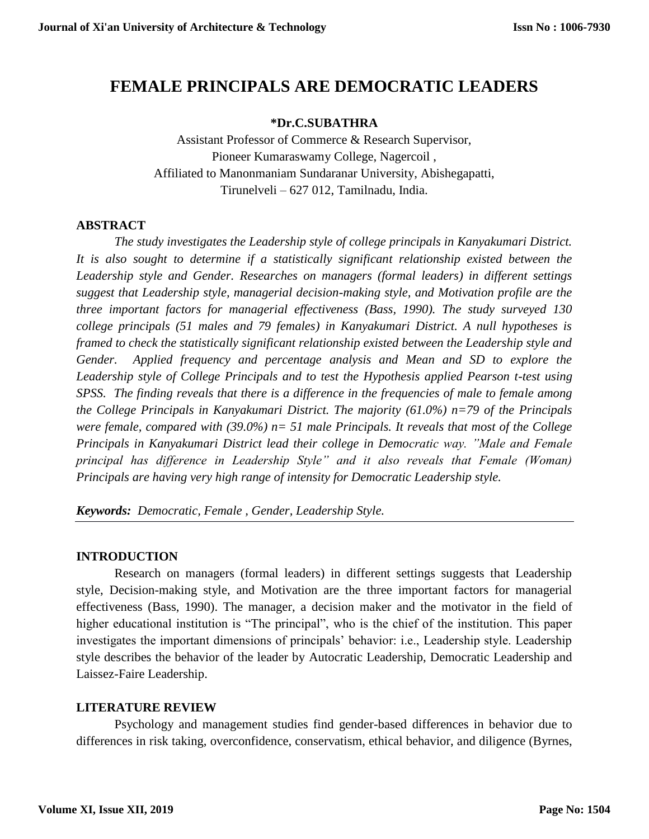# **FEMALE PRINCIPALS ARE DEMOCRATIC LEADERS**

#### **\*Dr.C.SUBATHRA**

Assistant Professor of Commerce & Research Supervisor, Pioneer Kumaraswamy College, Nagercoil , Affiliated to Manonmaniam Sundaranar University, Abishegapatti, Tirunelveli – 627 012, Tamilnadu, India.

#### **ABSTRACT**

*The study investigates the Leadership style of college principals in Kanyakumari District. It is also sought to determine if a statistically significant relationship existed between the Leadership style and Gender. Researches on managers (formal leaders) in different settings suggest that Leadership style, managerial decision-making style, and Motivation profile are the three important factors for managerial effectiveness (Bass, 1990). The study surveyed 130 college principals (51 males and 79 females) in Kanyakumari District. A null hypotheses is framed to check the statistically significant relationship existed between the Leadership style and Gender. Applied frequency and percentage analysis and Mean and SD to explore the Leadership style of College Principals and to test the Hypothesis applied Pearson t-test using SPSS. The finding reveals that there is a difference in the frequencies of male to female among the College Principals in Kanyakumari District. The majority (61.0%) n=79 of the Principals were female, compared with (39.0%) n= 51 male Principals. It reveals that most of the College Principals in Kanyakumari District lead their college in Democratic way. "Male and Female principal has difference in Leadership Style" and it also reveals that Female (Woman) Principals are having very high range of intensity for Democratic Leadership style.* 

*Keywords: Democratic, Female , Gender, Leadership Style.*

#### **INTRODUCTION**

Research on managers (formal leaders) in different settings suggests that Leadership style, Decision-making style, and Motivation are the three important factors for managerial effectiveness (Bass, 1990). The manager, a decision maker and the motivator in the field of higher educational institution is "The principal", who is the chief of the institution. This paper investigates the important dimensions of principals' behavior: i.e., Leadership style. Leadership style describes the behavior of the leader by Autocratic Leadership, Democratic Leadership and Laissez-Faire Leadership.

#### **LITERATURE REVIEW**

Psychology and management studies find gender-based differences in behavior due to differences in risk taking, overconfidence, conservatism, ethical behavior, and diligence (Byrnes,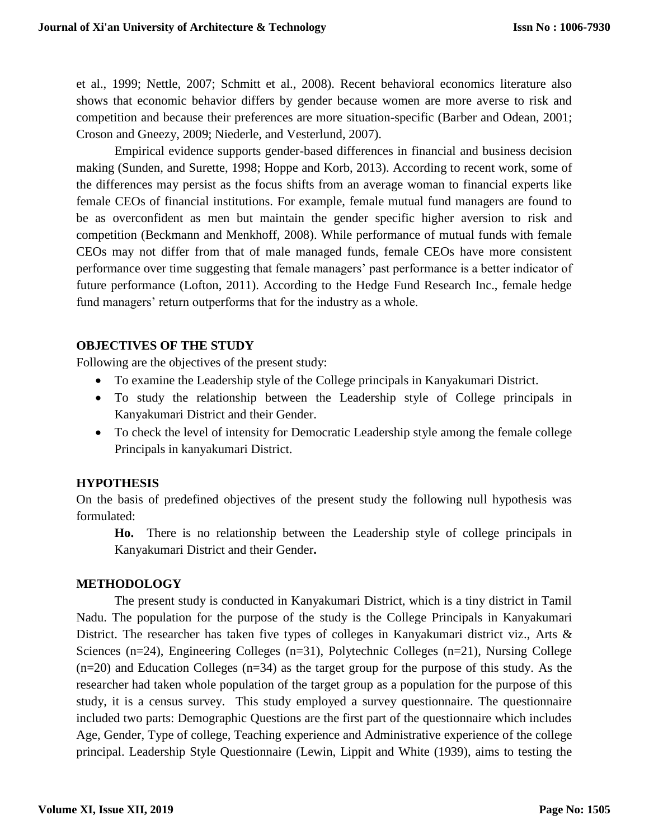et al., 1999; Nettle, 2007; Schmitt et al., 2008). Recent behavioral economics literature also shows that economic behavior differs by gender because women are more averse to risk and competition and because their preferences are more situation-specific (Barber and Odean, 2001; Croson and Gneezy, 2009; Niederle, and Vesterlund, 2007).

Empirical evidence supports gender-based differences in financial and business decision making (Sunden, and Surette, 1998; Hoppe and Korb, 2013). According to recent work, some of the differences may persist as the focus shifts from an average woman to financial experts like female CEOs of financial institutions. For example, female mutual fund managers are found to be as overconfident as men but maintain the gender specific higher aversion to risk and competition (Beckmann and Menkhoff, 2008). While performance of mutual funds with female CEOs may not differ from that of male managed funds, female CEOs have more consistent performance over time suggesting that female managers' past performance is a better indicator of future performance (Lofton, 2011). According to the Hedge Fund Research Inc., female hedge fund managers' return outperforms that for the industry as a whole.

### **OBJECTIVES OF THE STUDY**

Following are the objectives of the present study:

- To examine the Leadership style of the College principals in Kanyakumari District.
- To study the relationship between the Leadership style of College principals in Kanyakumari District and their Gender.
- To check the level of intensity for Democratic Leadership style among the female college Principals in kanyakumari District.

# **HYPOTHESIS**

On the basis of predefined objectives of the present study the following null hypothesis was formulated:

**Ho.** There is no relationship between the Leadership style of college principals in Kanyakumari District and their Gender**.**

#### **METHODOLOGY**

The present study is conducted in Kanyakumari District, which is a tiny district in Tamil Nadu. The population for the purpose of the study is the College Principals in Kanyakumari District. The researcher has taken five types of colleges in Kanyakumari district viz., Arts & Sciences (n=24), Engineering Colleges (n=31), Polytechnic Colleges (n=21), Nursing College (n=20) and Education Colleges (n=34) as the target group for the purpose of this study. As the researcher had taken whole population of the target group as a population for the purpose of this study, it is a census survey. This study employed a survey questionnaire. The questionnaire included two parts: Demographic Questions are the first part of the questionnaire which includes Age, Gender, Type of college, Teaching experience and Administrative experience of the college principal. Leadership Style Questionnaire (Lewin, Lippit and White (1939), aims to testing the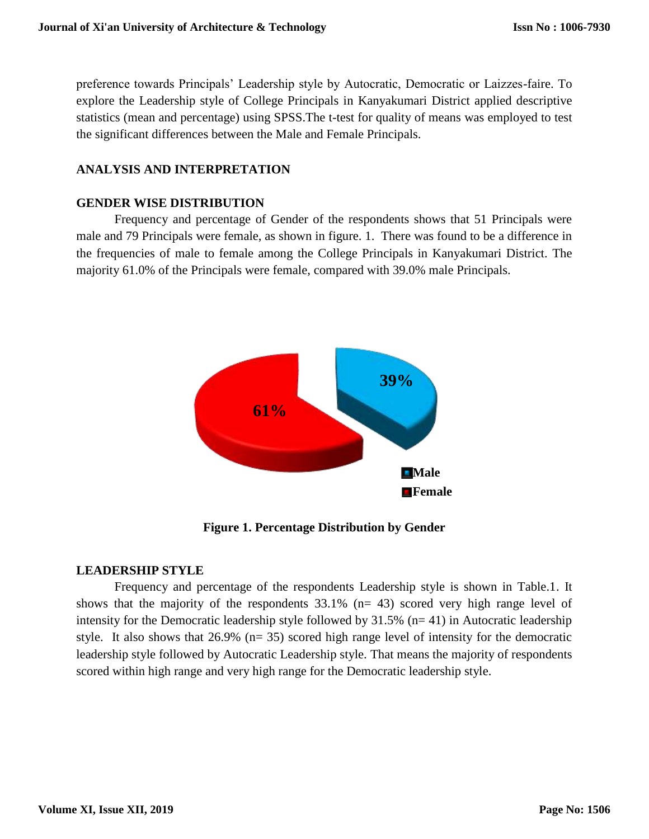preference towards Principals' Leadership style by Autocratic, Democratic or Laizzes-faire. To explore the Leadership style of College Principals in Kanyakumari District applied descriptive statistics (mean and percentage) using SPSS.The t-test for quality of means was employed to test the significant differences between the Male and Female Principals.

## **ANALYSIS AND INTERPRETATION**

### **GENDER WISE DISTRIBUTION**

Frequency and percentage of Gender of the respondents shows that 51 Principals were male and 79 Principals were female, as shown in figure. 1. There was found to be a difference in the frequencies of male to female among the College Principals in Kanyakumari District. The majority 61.0% of the Principals were female, compared with 39.0% male Principals.



**Figure 1. Percentage Distribution by Gender**

#### **LEADERSHIP STYLE**

Frequency and percentage of the respondents Leadership style is shown in Table.1. It shows that the majority of the respondents  $33.1\%$  (n= 43) scored very high range level of intensity for the Democratic leadership style followed by  $31.5\%$  (n= 41) in Autocratic leadership style. It also shows that 26.9% (n= 35) scored high range level of intensity for the democratic leadership style followed by Autocratic Leadership style. That means the majority of respondents scored within high range and very high range for the Democratic leadership style.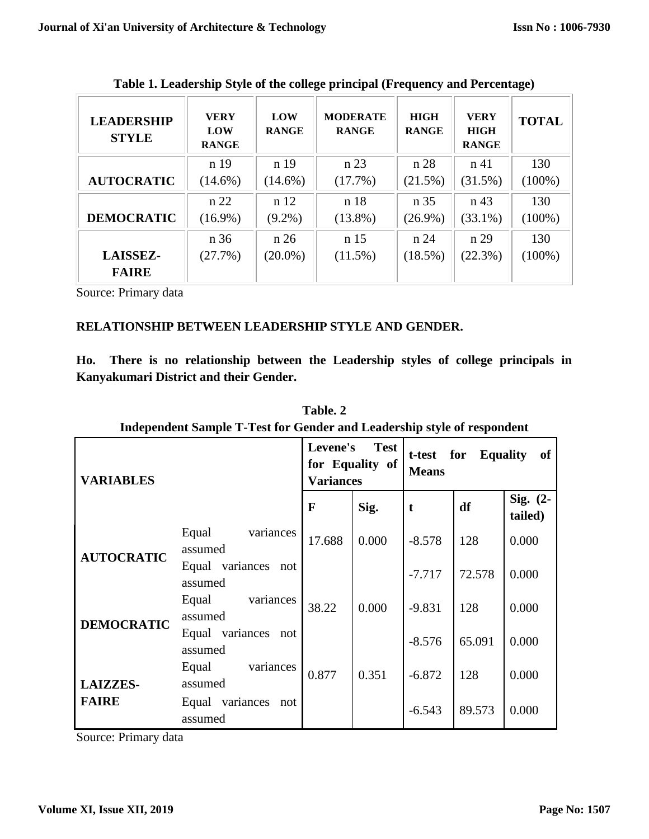| <b>LEADERSHIP</b><br><b>STYLE</b> | <b>VERY</b><br>LOW<br><b>RANGE</b> | <b>LOW</b><br><b>RANGE</b> | <b>MODERATE</b><br><b>RANGE</b> | <b>HIGH</b><br><b>RANGE</b> | <b>VERY</b><br><b>HIGH</b><br><b>RANGE</b> | <b>TOTAL</b> |
|-----------------------------------|------------------------------------|----------------------------|---------------------------------|-----------------------------|--------------------------------------------|--------------|
|                                   | n 19                               | n 19                       | n 23                            | n 28                        | n 41                                       | 130          |
| <b>AUTOCRATIC</b>                 | $(14.6\%)$                         | $(14.6\%)$                 | (17.7%)                         | (21.5%)                     | (31.5%)                                    | $(100\%)$    |
|                                   | n 22                               | n 12                       | n 18                            | n 35                        | n 43                                       | 130          |
| <b>DEMOCRATIC</b>                 | $(16.9\%)$                         | $(9.2\%)$                  | $(13.8\%)$                      | $(26.9\%)$                  | $(33.1\%)$                                 | $(100\%)$    |
|                                   | n 36                               | n 26                       | n 15                            | n 24                        | n 29                                       | 130          |
| <b>LAISSEZ-</b>                   | (27.7%)                            | $(20.0\%)$                 | $(11.5\%)$                      | $(18.5\%)$                  | $(22.3\%)$                                 | $(100\%)$    |
| <b>FAIRE</b>                      |                                    |                            |                                 |                             |                                            |              |

**Table 1. Leadership Style of the college principal (Frequency and Percentage)**

Source: Primary data

# **RELATIONSHIP BETWEEN LEADERSHIP STYLE AND GENDER.**

**Ho. There is no relationship between the Leadership styles of college principals in Kanyakumari District and their Gender.**

| Independent Sample 1-1est for Gender and Leadership style of respondent |                                |                                                                |       |                                                        |        |                       |  |
|-------------------------------------------------------------------------|--------------------------------|----------------------------------------------------------------|-------|--------------------------------------------------------|--------|-----------------------|--|
| <b>VARIABLES</b>                                                        |                                | Levene's<br><b>Test</b><br>for Equality of<br><b>Variances</b> |       | for<br><b>Equality</b><br>t-test<br>of<br><b>Means</b> |        |                       |  |
|                                                                         |                                | $\mathbf F$                                                    | Sig.  | t                                                      | df     | Sig. $(2-$<br>tailed) |  |
| <b>AUTOCRATIC</b>                                                       | Equal<br>variances<br>assumed  | 17.688                                                         | 0.000 | $-8.578$                                               | 128    | 0.000                 |  |
|                                                                         | Equal variances not<br>assumed |                                                                |       | $-7.717$                                               | 72.578 | 0.000                 |  |
| <b>DEMOCRATIC</b>                                                       | variances<br>Equal<br>assumed  | 38.22                                                          | 0.000 | $-9.831$                                               | 128    | 0.000                 |  |
|                                                                         | Equal variances not<br>assumed |                                                                |       | $-8.576$                                               | 65.091 | 0.000                 |  |
| <b>LAIZZES-</b>                                                         | variances<br>Equal<br>assumed  | 0.877                                                          | 0.351 | $-6.872$                                               | 128    | 0.000                 |  |
| <b>FAIRE</b>                                                            | Equal variances not<br>assumed |                                                                |       | $-6.543$                                               | 89.573 | 0.000                 |  |

**Table. 2 Independent Sample T-Test for Gender and Leadership style of respondent**

Source: Primary data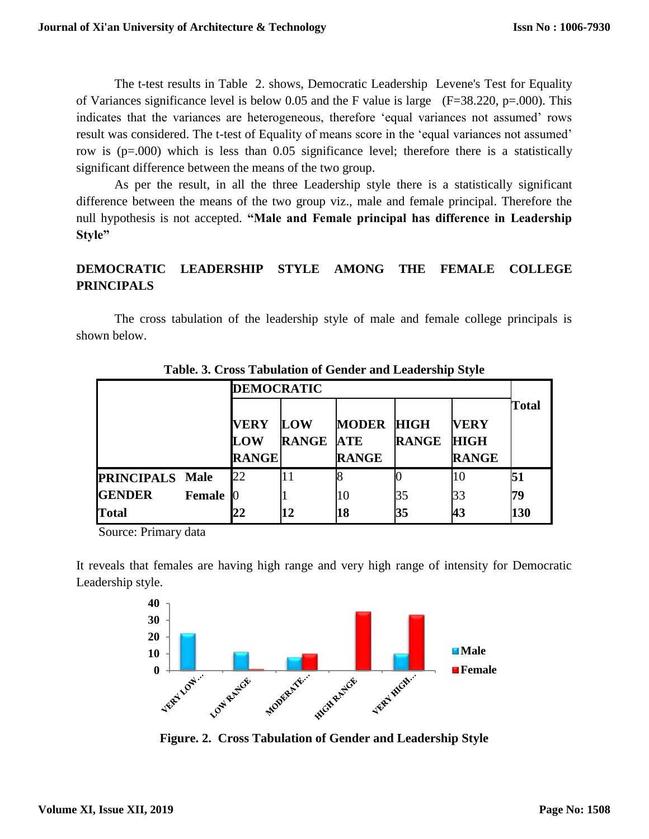The t-test results in Table 2. shows, Democratic Leadership Levene's Test for Equality of Variances significance level is below 0.05 and the F value is large (F=38.220, p=.000). This indicates that the variances are heterogeneous, therefore 'equal variances not assumed' rows result was considered. The t-test of Equality of means score in the 'equal variances not assumed' row is (p=.000) which is less than 0.05 significance level; therefore there is a statistically significant difference between the means of the two group.

As per the result, in all the three Leadership style there is a statistically significant difference between the means of the two group viz., male and female principal. Therefore the null hypothesis is not accepted. **"Male and Female principal has difference in Leadership Style"**

# **DEMOCRATIC LEADERSHIP STYLE AMONG THE FEMALE COLLEGE PRINCIPALS**

The cross tabulation of the leadership style of male and female college principals is shown below.

|                        |               | <b>DEMOCRATIC</b>                         |                                |                                   |              |                                            |              |
|------------------------|---------------|-------------------------------------------|--------------------------------|-----------------------------------|--------------|--------------------------------------------|--------------|
|                        |               | <b>VERY</b><br><b>LOW</b><br><b>RANGE</b> | <b>LOW</b><br><b>RANGE ATE</b> | <b>MODER HIGH</b><br><b>RANGE</b> | <b>RANGE</b> | <b>VERY</b><br><b>HIGH</b><br><b>RANGE</b> | <b>Total</b> |
| <b>PRINCIPALS Male</b> |               | 22                                        |                                |                                   |              | 10                                         | 51           |
| <b>GENDER</b>          | <b>Female</b> |                                           |                                | 10                                | 35           | 33                                         | 79           |
| Total                  |               | 22                                        | 12                             | 18                                | 35           | 43                                         | 130          |

**Table. 3. Cross Tabulation of Gender and Leadership Style**

Source: Primary data

It reveals that females are having high range and very high range of intensity for Democratic Leadership style.



**Figure. 2. Cross Tabulation of Gender and Leadership Style**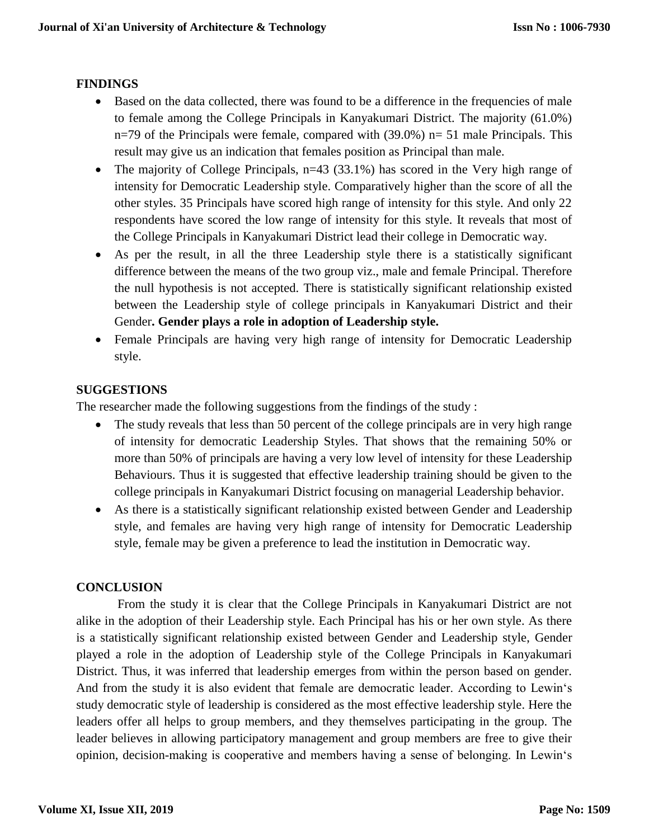# **FINDINGS**

- Based on the data collected, there was found to be a difference in the frequencies of male to female among the College Principals in Kanyakumari District. The majority (61.0%)  $n=79$  of the Principals were female, compared with (39.0%)  $n=51$  male Principals. This result may give us an indication that females position as Principal than male.
- The majority of College Principals, n=43 (33.1%) has scored in the Very high range of intensity for Democratic Leadership style. Comparatively higher than the score of all the other styles. 35 Principals have scored high range of intensity for this style. And only 22 respondents have scored the low range of intensity for this style. It reveals that most of the College Principals in Kanyakumari District lead their college in Democratic way.
- As per the result, in all the three Leadership style there is a statistically significant difference between the means of the two group viz., male and female Principal. Therefore the null hypothesis is not accepted. There is statistically significant relationship existed between the Leadership style of college principals in Kanyakumari District and their Gender**. Gender plays a role in adoption of Leadership style.**
- Female Principals are having very high range of intensity for Democratic Leadership style.

# **SUGGESTIONS**

The researcher made the following suggestions from the findings of the study :

- The study reveals that less than 50 percent of the college principals are in very high range of intensity for democratic Leadership Styles. That shows that the remaining 50% or more than 50% of principals are having a very low level of intensity for these Leadership Behaviours. Thus it is suggested that effective leadership training should be given to the college principals in Kanyakumari District focusing on managerial Leadership behavior.
- As there is a statistically significant relationship existed between Gender and Leadership style, and females are having very high range of intensity for Democratic Leadership style, female may be given a preference to lead the institution in Democratic way.

# **CONCLUSION**

From the study it is clear that the College Principals in Kanyakumari District are not alike in the adoption of their Leadership style. Each Principal has his or her own style. As there is a statistically significant relationship existed between Gender and Leadership style, Gender played a role in the adoption of Leadership style of the College Principals in Kanyakumari District. Thus, it was inferred that leadership emerges from within the person based on gender. And from the study it is also evident that female are democratic leader. According to Lewin's study democratic style of leadership is considered as the most effective leadership style. Here the leaders offer all helps to group members, and they themselves participating in the group. The leader believes in allowing participatory management and group members are free to give their opinion, decision-making is cooperative and members having a sense of belonging. In Lewin's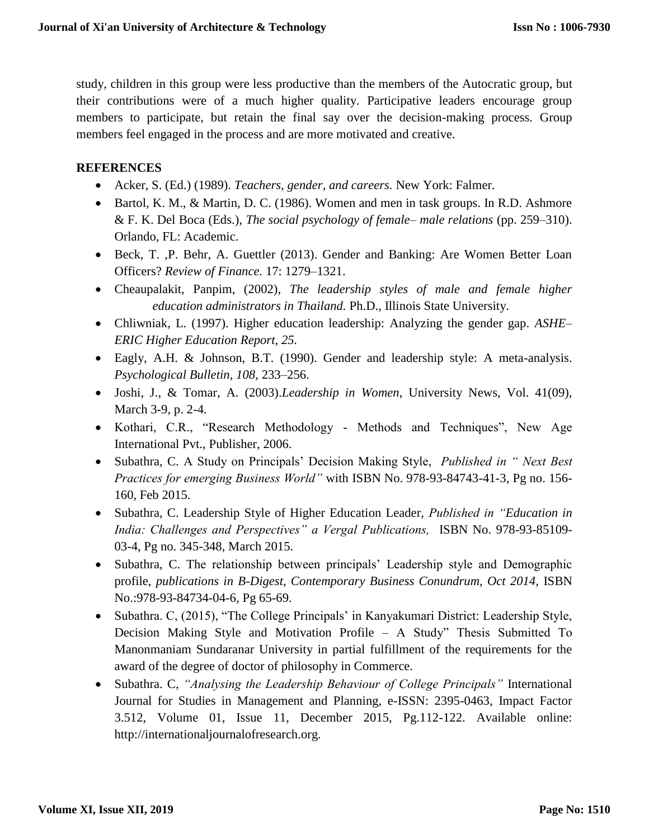study, children in this group were less productive than the members of the Autocratic group, but their contributions were of a much higher quality. Participative leaders encourage group members to participate, but retain the final say over the decision-making process. Group members feel engaged in the process and are more motivated and creative.

### **REFERENCES**

- Acker, S. (Ed.) (1989). *Teachers, gender, and careers.* New York: Falmer.
- Bartol, K. M., & Martin, D. C. (1986). Women and men in task groups. In R.D. Ashmore & F. K. Del Boca (Eds.), *The social psychology of female– male relations* (pp. 259–310). Orlando, FL: Academic.
- Beck, T. ,P. Behr, A. Guettler (2013). Gender and Banking: Are Women Better Loan Officers? *Review of Finance.* 17: 1279–1321.
- Cheaupalakit, Panpim, (2002), *The leadership styles of male and female higher education administrators in Thailand.* Ph.D., Illinois State University.
- Chliwniak, L. (1997). Higher education leadership: Analyzing the gender gap. *ASHE– ERIC Higher Education Report, 25.*
- Eagly, A.H. & Johnson, B.T. (1990). Gender and leadership style: A meta-analysis. *Psychological Bulletin, 108*, 233–256.
- Joshi, J., & Tomar, A. (2003).*Leadership in Women*, University News, Vol. 41(09), March 3-9, p. 2-4.
- Kothari, C.R., "Research Methodology Methods and Techniques", New Age International Pvt., Publisher, 2006.
- Subathra, C. A Study on Principals' Decision Making Style, *Published in " Next Best Practices for emerging Business World"* with ISBN No. 978-93-84743-41-3, Pg no. 156- 160, Feb 2015.
- Subathra, C. Leadership Style of Higher Education Leader, *Published in "Education in India: Challenges and Perspectives" a Vergal Publications,* ISBN No. 978-93-85109- 03-4, Pg no. 345-348, March 2015.
- Subathra, C. The relationship between principals' Leadership style and Demographic profile, *publications in B-Digest, Contemporary Business Conundrum, Oct 2014, ISBN* No.:978-93-84734-04-6, Pg 65-69.
- Subathra. C, (2015), "The College Principals' in Kanyakumari District: Leadership Style, Decision Making Style and Motivation Profile – A Study" Thesis Submitted To Manonmaniam Sundaranar University in partial fulfillment of the requirements for the award of the degree of doctor of philosophy in Commerce.
- Subathra. C, *"Analysing the Leadership Behaviour of College Principals"* International Journal for Studies in Management and Planning, e-ISSN: 2395-0463, Impact Factor 3.512, Volume 01, Issue 11, December 2015, Pg.112-122. Available online: http://internationaljournalofresearch.org.